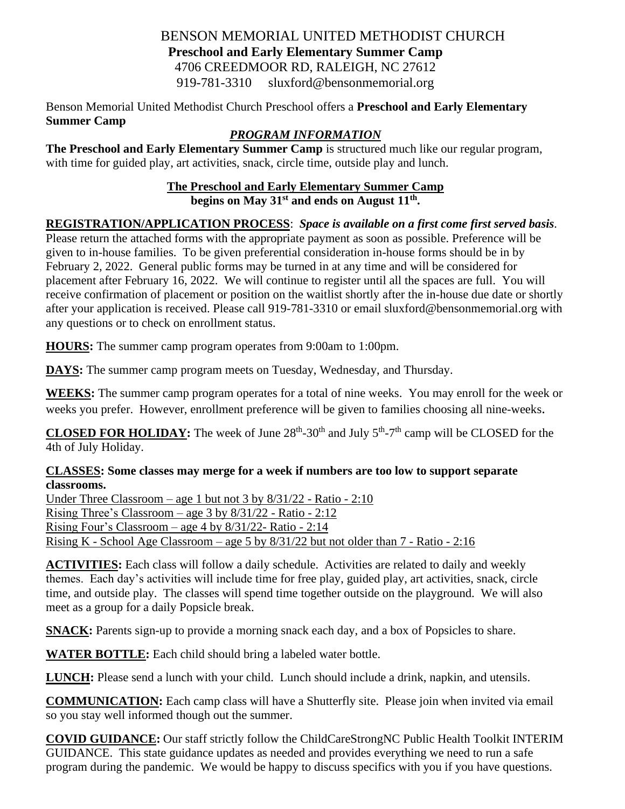#### BENSON MEMORIAL UNITED METHODIST CHURCH **Preschool and Early Elementary Summer Camp** 4706 CREEDMOOR RD, RALEIGH, NC 27612 919-781-3310 sluxford@bensonmemorial.org

Benson Memorial United Methodist Church Preschool offers a **Preschool and Early Elementary Summer Camp** 

### *PROGRAM INFORMATION*

**The Preschool and Early Elementary Summer Camp** is structured much like our regular program, with time for guided play, art activities, snack, circle time, outside play and lunch.

#### **The Preschool and Early Elementary Summer Camp begins on May 31 st and ends on August 11 th .**

#### **REGISTRATION/APPLICATION PROCESS**: *Space is available on a first come first served basis.*

Please return the attached forms with the appropriate payment as soon as possible. Preference will be given to in-house families. To be given preferential consideration in-house forms should be in by February 2, 2022. General public forms may be turned in at any time and will be considered for placement after February 16, 2022. We will continue to register until all the spaces are full. You will receive confirmation of placement or position on the waitlist shortly after the in-house due date or shortly after your application is received. Please call 919-781-3310 or email sluxford@bensonmemorial.org with any questions or to check on enrollment status.

**HOURS:** The summer camp program operates from 9:00am to 1:00pm.

**DAYS:** The summer camp program meets on Tuesday, Wednesday, and Thursday.

**WEEKS:** The summer camp program operates for a total of nine weeks. You may enroll for the week or weeks you prefer. However, enrollment preference will be given to families choosing all nine-weeks.

**CLOSED FOR HOLIDAY:** The week of June  $28<sup>th</sup>$ -30<sup>th</sup> and July  $5<sup>th</sup>$ -7<sup>th</sup> camp will be CLOSED for the 4th of July Holiday.

# **CLASSES: Some classes may merge for a week if numbers are too low to support separate classrooms.**

Under Three Classroom – age 1 but not 3 by 8/31/22 - Ratio - 2:10 Rising Three's Classroom – age 3 by 8/31/22 - Ratio - 2:12 Rising Four's Classroom – age 4 by 8/31/22- Ratio - 2:14 Rising K - School Age Classroom – age 5 by 8/31/22 but not older than 7 - Ratio - 2:16

**ACTIVITIES:** Each class will follow a daily schedule. Activities are related to daily and weekly themes. Each day's activities will include time for free play, guided play, art activities, snack, circle time, and outside play. The classes will spend time together outside on the playground. We will also meet as a group for a daily Popsicle break.

**SNACK:** Parents sign-up to provide a morning snack each day, and a box of Popsicles to share.

**WATER BOTTLE:** Each child should bring a labeled water bottle.

**LUNCH:** Please send a lunch with your child. Lunch should include a drink, napkin, and utensils.

**COMMUNICATION:** Each camp class will have a Shutterfly site. Please join when invited via email so you stay well informed though out the summer.

**COVID GUIDANCE:** Our staff strictly follow the ChildCareStrongNC Public Health Toolkit INTERIM GUIDANCE. This state guidance updates as needed and provides everything we need to run a safe program during the pandemic. We would be happy to discuss specifics with you if you have questions.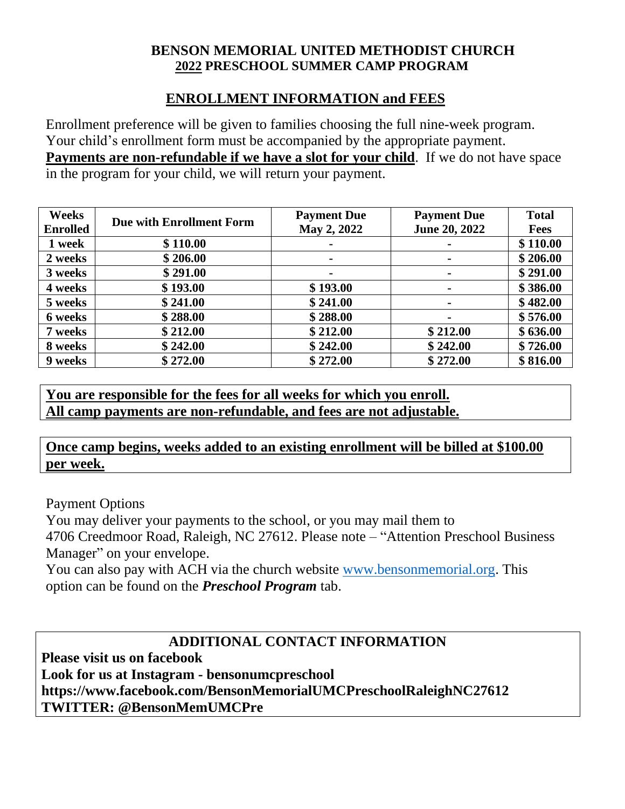#### **BENSON MEMORIAL UNITED METHODIST CHURCH 2022 PRESCHOOL SUMMER CAMP PROGRAM**

#### **ENROLLMENT INFORMATION and FEES**

Enrollment preference will be given to families choosing the full nine-week program. Your child's enrollment form must be accompanied by the appropriate payment. **Payments are non-refundable if we have a slot for your child**. If we do not have space in the program for your child, we will return your payment.

| Weeks           | <b>Due with Enrollment Form</b> | <b>Payment Due</b> | <b>Payment Due</b> | <b>Total</b> |
|-----------------|---------------------------------|--------------------|--------------------|--------------|
| <b>Enrolled</b> |                                 | May 2, 2022        | June 20, 2022      | <b>Fees</b>  |
| 1 week          | \$110.00                        |                    | $\blacksquare$     | \$110.00     |
| 2 weeks         | \$206.00                        | $\blacksquare$     | $\blacksquare$     | \$206.00     |
| 3 weeks         | \$291.00                        |                    | $\blacksquare$     | \$291.00     |
| 4 weeks         | \$193.00                        | \$193.00           | $\blacksquare$     | \$386.00     |
| 5 weeks         | \$241.00                        | \$241.00           | $\blacksquare$     | \$482.00     |
| 6 weeks         | \$288.00                        | \$288.00           | $\blacksquare$     | \$576.00     |
| 7 weeks         | \$212.00                        | \$212.00           | \$212.00           | \$636.00     |
| 8 weeks         | \$242.00                        | \$242.00           | \$242.00           | \$726.00     |
| 9 weeks         | \$272.00                        | \$272.00           | \$272.00           | \$816.00     |

**You are responsible for the fees for all weeks for which you enroll. All camp payments are non-refundable, and fees are not adjustable.**

**Once camp begins, weeks added to an existing enrollment will be billed at \$100.00 per week.**

Payment Options

You may deliver your payments to the school, or you may mail them to

4706 Creedmoor Road, Raleigh, NC 27612. Please note – "Attention Preschool Business Manager" on your envelope.

You can also pay with ACH via the church website [www.bensonmemorial.org.](http://www.bensonmemorial.org/) This option can be found on the *Preschool Program* tab.

# **ADDITIONAL CONTACT INFORMATION**

**Please visit us on facebook** 

**Look for us at Instagram - bensonumcpreschool https://www.facebook.com/BensonMemorialUMCPreschoolRaleighNC27612 TWITTER: @BensonMemUMCPre**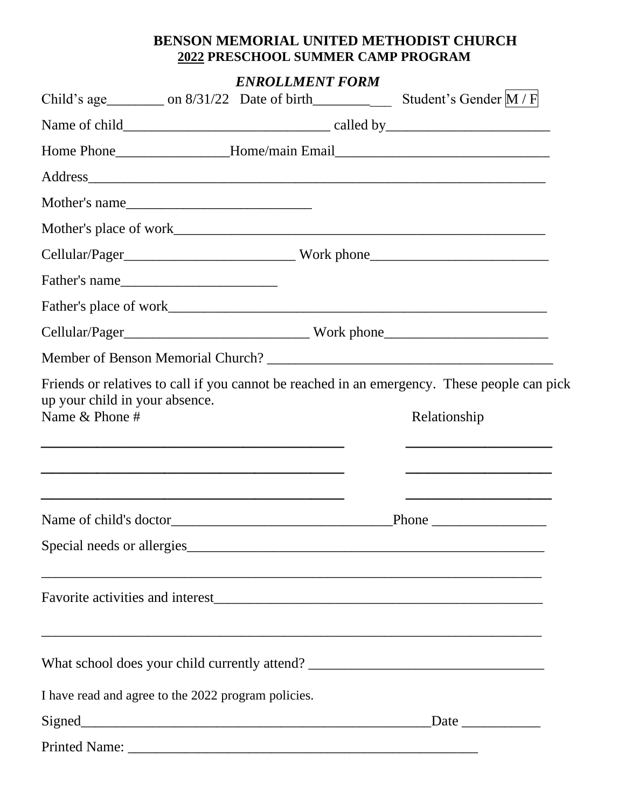#### **BENSON MEMORIAL UNITED METHODIST CHURCH 2022 PRESCHOOL SUMMER CAMP PROGRAM**

*ENROLLMENT FORM*

|                                                  | Mother's name                                                                                                                                            |              |  |
|--------------------------------------------------|----------------------------------------------------------------------------------------------------------------------------------------------------------|--------------|--|
|                                                  |                                                                                                                                                          |              |  |
|                                                  |                                                                                                                                                          |              |  |
|                                                  | Father's name                                                                                                                                            |              |  |
|                                                  |                                                                                                                                                          |              |  |
|                                                  |                                                                                                                                                          |              |  |
|                                                  |                                                                                                                                                          |              |  |
| up your child in your absence.<br>Name & Phone # | Friends or relatives to call if you cannot be reached in an emergency. These people can pick<br><u> 1989 - John Stone, amerikansk politiker (* 1989)</u> | Relationship |  |
|                                                  |                                                                                                                                                          |              |  |
|                                                  |                                                                                                                                                          |              |  |
|                                                  |                                                                                                                                                          |              |  |
|                                                  | What school does your child currently attend? ___________________________________                                                                        |              |  |
|                                                  | I have read and agree to the 2022 program policies.                                                                                                      |              |  |
|                                                  |                                                                                                                                                          |              |  |
|                                                  |                                                                                                                                                          |              |  |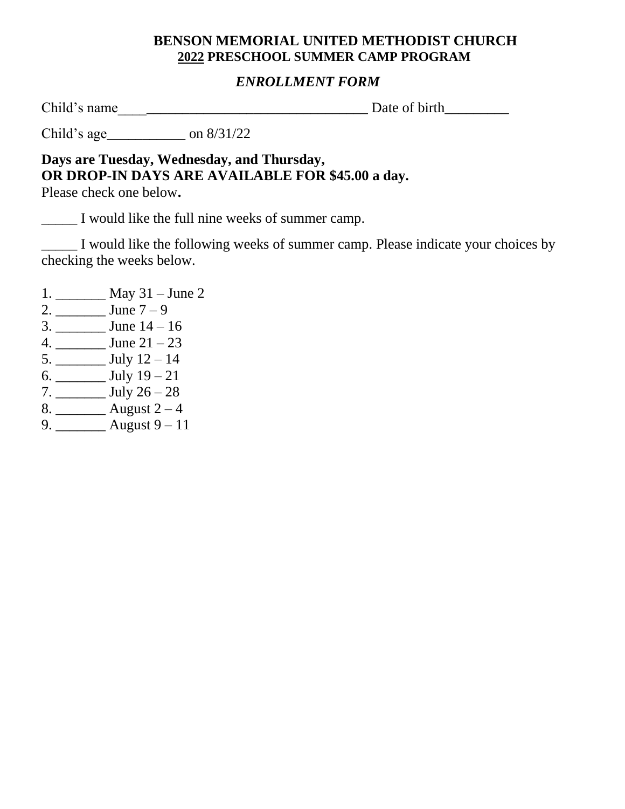#### **BENSON MEMORIAL UNITED METHODIST CHURCH 2022 PRESCHOOL SUMMER CAMP PROGRAM**

### *ENROLLMENT FORM*

Child's name\_\_\_\_\_\_\_\_\_\_\_\_\_\_\_\_\_\_\_\_\_\_\_\_\_\_\_\_\_\_\_\_\_\_\_ Date of birth\_\_\_\_\_\_\_\_\_

Child's age\_\_\_\_\_\_\_\_\_\_\_ on 8/31/22

**Days are Tuesday, Wednesday, and Thursday, OR DROP-IN DAYS ARE AVAILABLE FOR \$45.00 a day.**

Please check one below**.**

\_\_\_\_\_ I would like the full nine weeks of summer camp.

\_\_\_\_\_ I would like the following weeks of summer camp. Please indicate your choices by checking the weeks below.

- 1. \_\_\_\_\_\_\_ May 31 June 2
- 2. \_\_\_\_\_\_\_ June 7 9
- 3. \_\_\_\_\_\_\_ June 14 16
- 4. \_\_\_\_\_\_\_ June 21 23
- 5. \_\_\_\_\_\_\_ July 12 14
- 6. \_\_\_\_\_\_\_ July 19 21
- 7. \_\_\_\_\_\_\_ July 26 28
- 8. \_\_\_\_\_\_\_\_\_ August  $2-4$
- 9. \_\_\_\_\_\_\_ August 9 11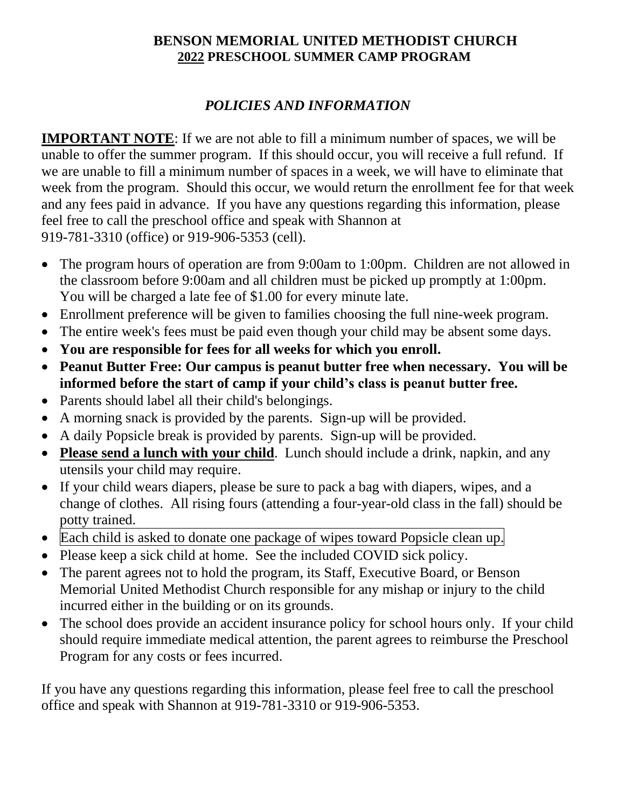#### **BENSON MEMORIAL UNITED METHODIST CHURCH 2022 PRESCHOOL SUMMER CAMP PROGRAM**

## *POLICIES AND INFORMATION*

**IMPORTANT NOTE:** If we are not able to fill a minimum number of spaces, we will be unable to offer the summer program. If this should occur, you will receive a full refund. If we are unable to fill a minimum number of spaces in a week, we will have to eliminate that week from the program. Should this occur, we would return the enrollment fee for that week and any fees paid in advance. If you have any questions regarding this information, please feel free to call the preschool office and speak with Shannon at 919-781-3310 (office) or 919-906-5353 (cell).

- The program hours of operation are from 9:00am to 1:00pm. Children are not allowed in the classroom before 9:00am and all children must be picked up promptly at 1:00pm. You will be charged a late fee of \$1.00 for every minute late.
- Enrollment preference will be given to families choosing the full nine-week program.
- The entire week's fees must be paid even though your child may be absent some days.
- **You are responsible for fees for all weeks for which you enroll.**
- **Peanut Butter Free: Our campus is peanut butter free when necessary. You will be informed before the start of camp if your child's class is peanut butter free.**
- Parents should label all their child's belongings.
- A morning snack is provided by the parents. Sign-up will be provided.
- A daily Popsicle break is provided by parents. Sign-up will be provided.
- **Please send a lunch with your child**. Lunch should include a drink, napkin, and any utensils your child may require.
- If your child wears diapers, please be sure to pack a bag with diapers, wipes, and a change of clothes. All rising fours (attending a four-year-old class in the fall) should be potty trained.
- Each child is asked to donate one package of wipes toward Popsicle clean up.
- Please keep a sick child at home. See the included COVID sick policy.
- The parent agrees not to hold the program, its Staff, Executive Board, or Benson Memorial United Methodist Church responsible for any mishap or injury to the child incurred either in the building or on its grounds.
- The school does provide an accident insurance policy for school hours only. If your child should require immediate medical attention, the parent agrees to reimburse the Preschool Program for any costs or fees incurred.

If you have any questions regarding this information, please feel free to call the preschool office and speak with Shannon at 919-781-3310 or 919-906-5353.